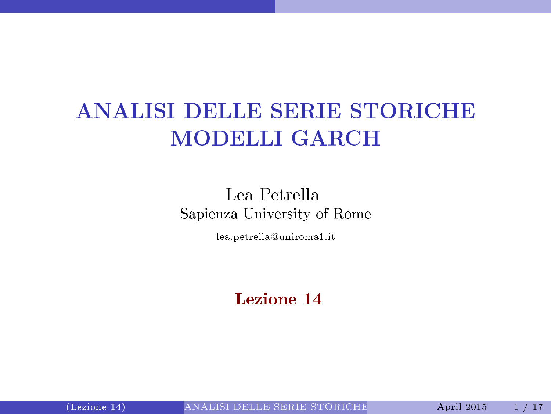# ANALISI DELLE SERIE STORICHE MODELLI GARCH

#### Lea Petrella Sapienza University of Rome

lea.petrella@uniroma1.it

#### <span id="page-0-0"></span>Lezione 14

(Lezione 14) ANALISI DELLE SERIE [STORICHE](#page-16-0) April 2015 1 / 17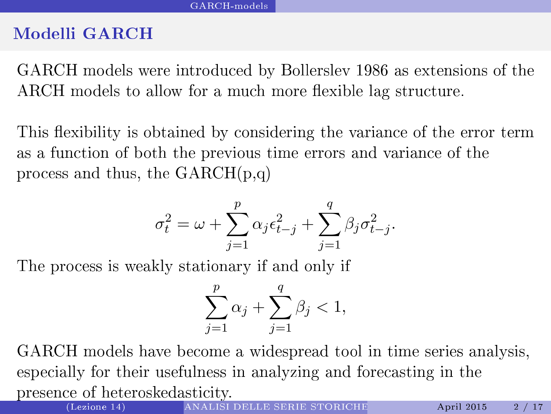#### Modelli GARCH

GARCH models were introduced by Bollerslev 1986 as extensions of the  $\mathbf{W}$ ARCH models to allow for a much more flexible lag structure. ARCH models to allow for a mu
h more exible lag stru
ture.

This flexibility is obtained by considering the variance of the error term This existence of the varianced by  $\mathbf{r}_i$  is obtained by  $\mathbf{r}_i$  the error term of the error term of the error term of the error term of the error term of the error term of the error term of the error term of the err as a fun
tion of both the previous time errors and varian
e of the process and thus, the  $GARCH(p,q)$ produced a structure of the GARCH(p,q) and the GARCH(p,q) and the GARCH(p,q) and the GARCH(p,q) and the GARCH(

$$
\sigma_t^2 = \omega + \sum_{j=1}^p \alpha_j \epsilon_{t-j}^2 + \sum_{j=1}^q \beta_j \sigma_{t-j}^2.
$$

The process is weakly stationary if and only if

<span id="page-1-0"></span>
$$
\sum_{j=1}^{p} \alpha_j + \sum_{j=1}^{q} \beta_j < 1,
$$

GARCH models have be
ome a widespread tool in time series analysis, especially for their usefulness in analyzing and forecasting in the presen
e of heteroskedasti
ity.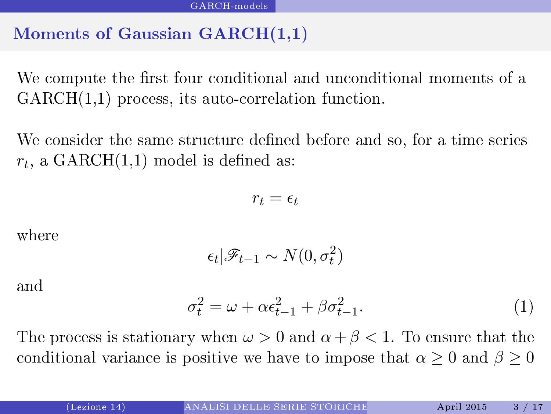#### Moments of Gaussian GARCH(1,1)

We compute the first four conditional and unconditional moments of a  $GARCH(1,1)$  process, its auto-correlation function.

 $\mathcal{N}_{\rm eff}$  the same structure and so, for a time structure and so, for a time series and so, for a time series and so, for a time series and so, for a time series and so, for a time series and so, for a time series and  $r_t$ , a  $\mathrm{GARCH}(1,\!1)$  model is defined as:

<span id="page-2-0"></span>
$$
r_t = \epsilon_t
$$

where

$$
\epsilon_t | \mathscr{F}_{t-1} \sim N(0, \sigma_t^2)
$$

and

$$
\sigma_t^2 = \omega + \alpha \epsilon_{t-1}^2 + \beta \sigma_{t-1}^2. \tag{1}
$$

The process is stationary when  $\omega > 0$  and  $\alpha + \beta < 1$ . To ensure that the conditional variance is positive we have to impose that  $\alpha > 0$  and  $\beta > 0$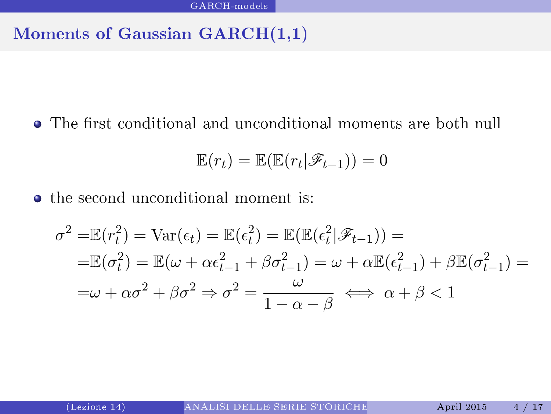#### Moments of Gaussian GARCH(1,1)

• The first conditional and unconditional moments are both null

<span id="page-3-0"></span>
$$
\mathbb{E}(r_t) = \mathbb{E}(\mathbb{E}(r_t|\mathscr{F}_{t-1})) = 0
$$

• the second unconditional moment is:

$$
\sigma^2 = \mathbb{E}(r_t^2) = \text{Var}(\epsilon_t) = \mathbb{E}(\epsilon_t^2) = \mathbb{E}(\mathbb{E}(\epsilon_t^2|\mathscr{F}_{t-1})) =
$$
  
=\mathbb{E}(\sigma\_t^2) = \mathbb{E}(\omega + \alpha \epsilon\_{t-1}^2 + \beta \sigma\_{t-1}^2) = \omega + \alpha \mathbb{E}(\epsilon\_{t-1}^2) + \beta \mathbb{E}(\sigma\_{t-1}^2) =  
=\omega + \alpha \sigma^2 + \beta \sigma^2 \Rightarrow \sigma^2 = \frac{\omega}{1 - \alpha - \beta} \iff \alpha + \beta < 1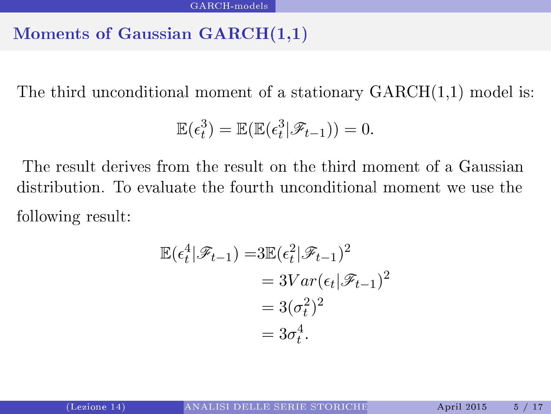#### Moments of Gaussian GARCH(1,1)

The third unconditional moment of a stationary  $GARCH(1,1)$  model is:

$$
\mathbb{E}(\epsilon_t^3) = \mathbb{E}(\mathbb{E}(\epsilon_t^3 | \mathscr{F}_{t-1})) = 0.
$$

The result derives from the result on the third moment of a Gaussian distribution. To evaluate the fourth unconditional moment we use the following results for  $\mathbf{f}$  results for  $\mathbf{f}$ 

<span id="page-4-0"></span>
$$
\mathbb{E}(\epsilon_t^4 | \mathscr{F}_{t-1}) = 3\mathbb{E}(\epsilon_t^2 | \mathscr{F}_{t-1})^2
$$
  
=  $3Var(\epsilon_t | \mathscr{F}_{t-1})^2$   
=  $3(\sigma_t^2)^2$   
=  $3\sigma_t^4$ .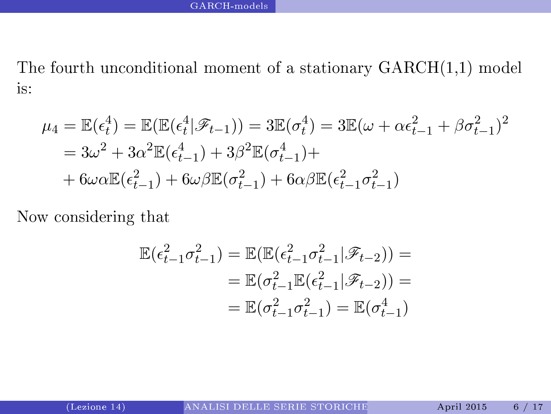The fourth unconditional moment of a stationary  $GARCH(1,1)$  model is:

$$
\mu_4 = \mathbb{E}(\epsilon_t^4) = \mathbb{E}(\mathbb{E}(\epsilon_t^4 | \mathscr{F}_{t-1})) = 3\mathbb{E}(\sigma_t^4) = 3\mathbb{E}(\omega + \alpha \epsilon_{t-1}^2 + \beta \sigma_{t-1}^2)^2
$$
  
=  $3\omega^2 + 3\alpha^2 \mathbb{E}(\epsilon_{t-1}^4) + 3\beta^2 \mathbb{E}(\sigma_{t-1}^4) +$   
+  $6\omega \alpha \mathbb{E}(\epsilon_{t-1}^2) + 6\omega \beta \mathbb{E}(\sigma_{t-1}^2) + 6\alpha \beta \mathbb{E}(\epsilon_{t-1}^2 \sigma_{t-1}^2)$ 

Now onsidering that

<span id="page-5-0"></span>
$$
\mathbb{E}(\epsilon_{t-1}^2 \sigma_{t-1}^2) = \mathbb{E}(\mathbb{E}(\epsilon_{t-1}^2 \sigma_{t-1}^2 | \mathscr{F}_{t-2})) =
$$
  
=  $\mathbb{E}(\sigma_{t-1}^2 \mathbb{E}(\epsilon_{t-1}^2 | \mathscr{F}_{t-2})) =$   
=  $\mathbb{E}(\sigma_{t-1}^2 \sigma_{t-1}^2) = \mathbb{E}(\sigma_{t-1}^4)$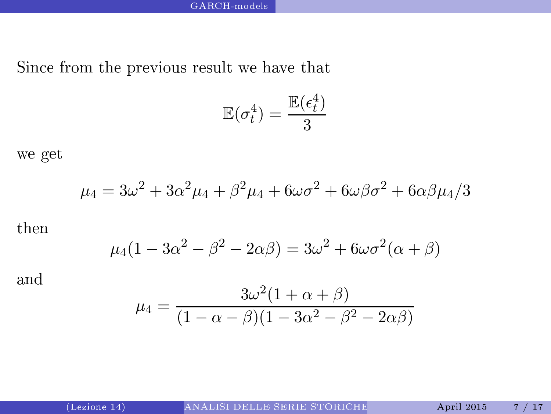Sin
e from the previous result we have that

$$
\mathbb{E}(\sigma_t^4) = \frac{\mathbb{E}(\epsilon_t^4)}{3}
$$

we get

$$
\mu_4=3\omega^2+3\alpha^2\mu_4+\beta^2\mu_4+6\omega\sigma^2+6\omega\beta\sigma^2+6\alpha\beta\mu_4/3
$$

then

$$
\mu_4(1 - 3\alpha^2 - \beta^2 - 2\alpha\beta) = 3\omega^2 + 6\omega\sigma^2(\alpha + \beta)
$$

and

<span id="page-6-0"></span>
$$
\mu_4 = \frac{3\omega^2 (1 + \alpha + \beta)}{(1 - \alpha - \beta)(1 - 3\alpha^2 - \beta^2 - 2\alpha\beta)}
$$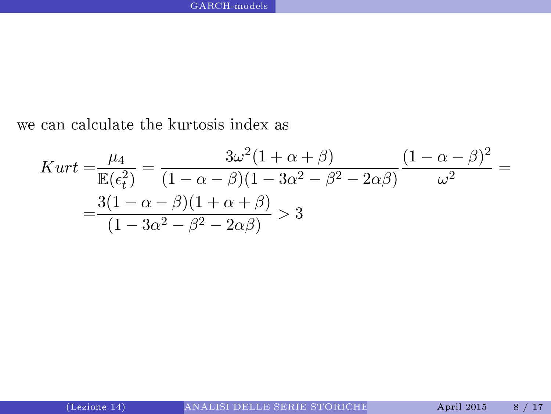we can calculate the kurtosis index as

<span id="page-7-0"></span>
$$
Kurt = \frac{\mu_4}{\mathbb{E}(\epsilon_t^2)} = \frac{3\omega^2(1+\alpha+\beta)}{(1-\alpha-\beta)(1-3\alpha^2-\beta^2-2\alpha\beta)}\frac{(1-\alpha-\beta)^2}{\omega^2} =
$$
  
= 
$$
\frac{3(1-\alpha-\beta)(1+\alpha+\beta)}{(1-3\alpha^2-\beta^2-2\alpha\beta)} > 3
$$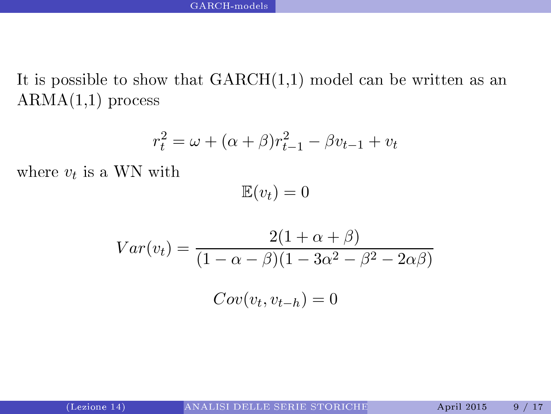It is possible to show that  $GARCH(1,1)$  model can be written as an  $ARMA(1,1)$  process

$$
r_t^2 = \omega + (\alpha + \beta)r_{t-1}^2 - \beta v_{t-1} + v_t
$$

where  $v_t$  is a WN with

<span id="page-8-0"></span> $\mathbb{E}(v_t) = 0$ 

$$
Var(v_t) = \frac{2(1+\alpha+\beta)}{(1-\alpha-\beta)(1-3\alpha^2-\beta^2-2\alpha\beta)}
$$

$$
Cov(v_t, v_{t-h}) = 0
$$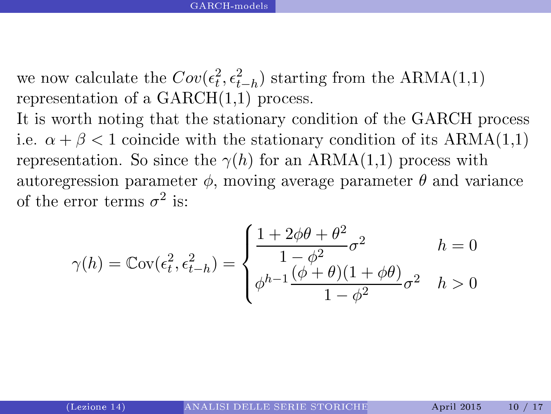we now calculate the  $Cov(\epsilon_t^2, \epsilon_{t-h}^2)$  starting from the ARMA(1,1) representation of a  $GARCH(1,1)$  process.

It is worth noting that the stationary condition of the GARCH process i.e.  $\alpha + \beta < 1$  coincide with the stationary condition of its ARMA(1,1) representation. So since the  $\gamma(h)$  for an ARMA(1,1) process with autoregression parameter  $\phi$ , moving average parameter  $\theta$  and variance of the error terms  $\sigma^2$ 

<span id="page-9-0"></span>
$$
\gamma(h) = \mathbb{C}\text{ov}(\epsilon_t^2, \epsilon_{t-h}^2) = \begin{cases} \frac{1 + 2\phi\theta + \theta^2}{1 - \phi^2} \sigma^2 & h = 0\\ \phi^{h-1} \frac{(\phi + \theta)(1 + \phi\theta)}{1 - \phi^2} \sigma^2 & h > 0 \end{cases}
$$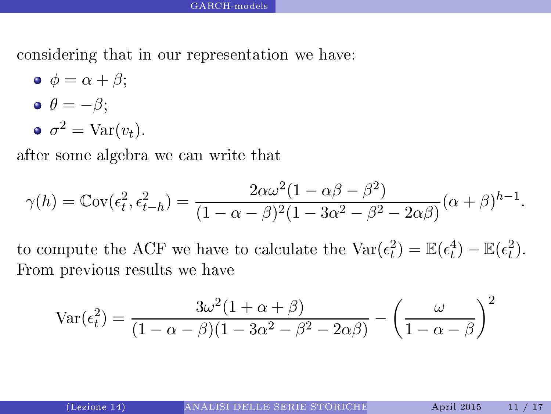considering that in our representation we have: onsidering that in our representation we have:

 $\bullet \ \phi = \alpha + \beta$ ;  $\bullet \ \theta = -\beta$ ;  $\sigma^2 = \text{Var}(v_t).$ 

after some algebra we an write that

$$
\gamma(h) = \operatorname{Cov}(\epsilon_t^2, \epsilon_{t-h}^2) = \frac{2\alpha\omega^2(1 - \alpha\beta - \beta^2)}{(1 - \alpha - \beta)^2(1 - 3\alpha^2 - \beta^2 - 2\alpha\beta)}(\alpha + \beta)^{h-1}.
$$

to compute the ACF we have to calculate the  $\text{Var}(\epsilon_t^2) = \mathbb{E}(\epsilon_t^4) - \mathbb{E}(\epsilon_t^2)$ . From previous results we have

<span id="page-10-0"></span>
$$
\text{Var}(\epsilon_t^2) = \frac{3\omega^2(1+\alpha+\beta)}{(1-\alpha-\beta)(1-3\alpha^2-\beta^2-2\alpha\beta)} - \left(\frac{\omega}{1-\alpha-\beta}\right)^2
$$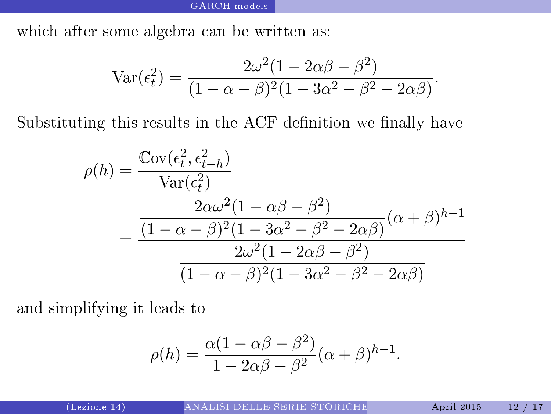which after some algebra can be written as:

$$
\operatorname{Var}(\epsilon_t^2) = \frac{2\omega^2(1 - 2\alpha\beta - \beta^2)}{(1 - \alpha - \beta)^2(1 - 3\alpha^2 - \beta^2 - 2\alpha\beta)}.
$$

Substituting this results in the ACF definition we finally have

$$
\rho(h) = \frac{\text{Cov}(\epsilon_t^2, \epsilon_{t-h}^2)}{\text{Var}(\epsilon_t^2)}
$$

$$
= \frac{2\alpha\omega^2(1 - \alpha\beta - \beta^2)}{(1 - \alpha - \beta)^2(1 - 3\alpha^2 - \beta^2 - 2\alpha\beta)}(\alpha + \beta)^{h-1}
$$

$$
= \frac{2\omega^2(1 - 2\alpha\beta - \beta^2)}{(1 - \alpha - \beta)^2(1 - 3\alpha^2 - \beta^2 - 2\alpha\beta)}
$$

and simplifying it leads to

<span id="page-11-0"></span>
$$
\rho(h) = \frac{\alpha(1 - \alpha\beta - \beta^2)}{1 - 2\alpha\beta - \beta^2}(\alpha + \beta)^{h-1}.
$$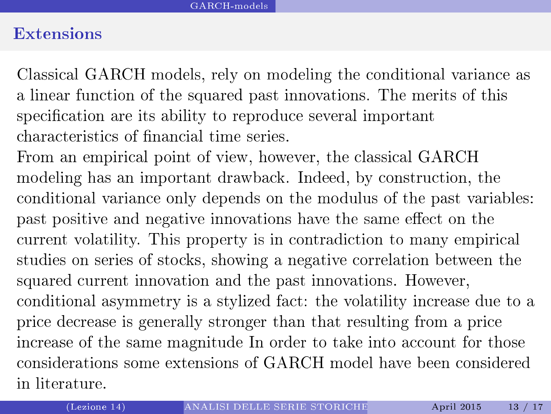#### Extensions

Classi
al GARCH models, rely on modeling the onditional varian
e as a linear fun
tion of the squared past innovations. The merits of this specification are its ability to reproduce several important characteristics of financial time series.

<span id="page-12-0"></span>From an empiri
al point of view, however, the lassi
al GARCH modeling has an important drawba
k. Indeed, by onstru
tion, the onditional varian
e only depends on the modulus of the past variables: past positive and negative innovations have the same effect on the urrent volatility. This property is in ontradi
tion to many empiri
al studies on series of sto
ks, showing a negative orrelation between the squared current innovation and the past innovations. However, onditional asymmetry is a stylized fa
t: the volatility in
rease due to a pri
e de
rease is generally stronger than that resulting from a pri
e increase of the same magnitude In order to take into account for those considerations some extensions of GARCH model have been considered in literature.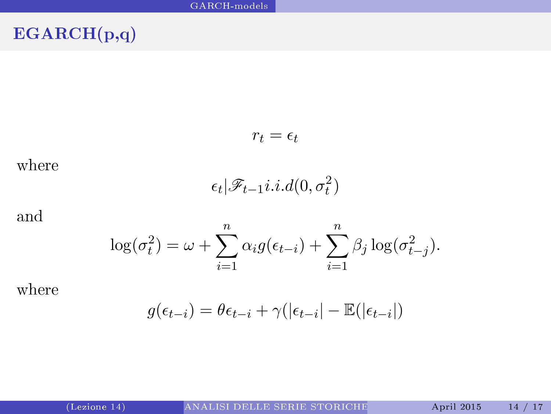## EGARCH(p,q)

$$
r_t = \epsilon_t
$$

where

<span id="page-13-0"></span>
$$
\epsilon_t | \mathscr{F}_{t-1} i.i.d(0,\sigma_t^2)
$$

and

$$
\log(\sigma_t^2) = \omega + \sum_{i=1}^n \alpha_i g(\epsilon_{t-i}) + \sum_{i=1}^n \beta_j \log(\sigma_{t-j}^2).
$$

where

$$
g(\epsilon_{t-i}) = \theta \epsilon_{t-i} + \gamma(|\epsilon_{t-i}| - \mathbb{E}(|\epsilon_{t-i}|)
$$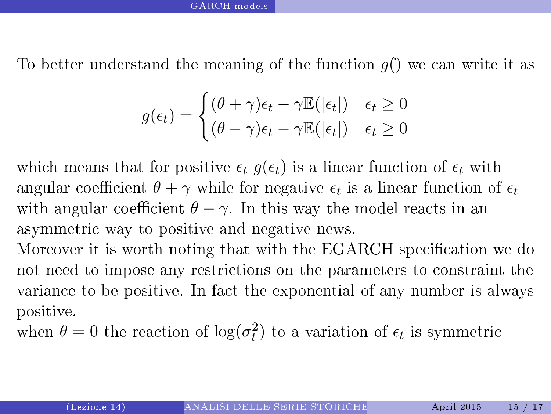To better understand the meaning of the function  $q()$  we can write it as

<span id="page-14-0"></span>
$$
g(\epsilon_t) = \begin{cases} (\theta + \gamma)\epsilon_t - \gamma \mathbb{E}(|\epsilon_t|) & \epsilon_t \ge 0\\ (\theta - \gamma)\epsilon_t - \gamma \mathbb{E}(|\epsilon_t|) & \epsilon_t \ge 0 \end{cases}
$$

which means that for positive  $\epsilon_t$   $g(\epsilon_t)$  is a linear function of  $\epsilon_t$  with angular coefficient  $\theta + \gamma$  while for negative  $\epsilon_t$  is a linear function of  $\epsilon_t$ with angular coefficient  $\theta - \gamma$ . In this way the model reacts in an asymmetri way to positive and negative news.

Moreover it is worth noting that with the EGARCH specification we do not need to impose any restrictions on the parameters to constraint the varian
e to be positive. In fa
t the exponential of any number is always positive.

when  $\theta = 0$  the reaction of  $\log(\sigma_t^2)$  to a variation of  $\epsilon_t$  is symmetric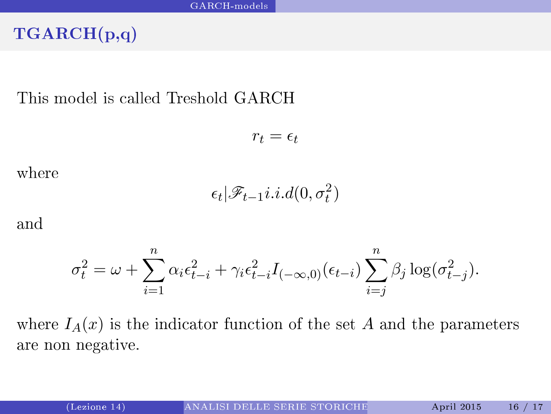### TGARCH(p,q)

This model is called Treshold GARCH

$$
r_t = \epsilon_t
$$

where

<span id="page-15-0"></span>
$$
\epsilon_t | \mathscr{F}_{t-1} i.i.d(0,\sigma_t^2)
$$

and

$$
\sigma_t^2 = \omega + \sum_{i=1}^n \alpha_i \epsilon_{t-i}^2 + \gamma_i \epsilon_{t-i}^2 I_{(-\infty,0)}(\epsilon_{t-i}) \sum_{i=j}^n \beta_j \log(\sigma_{t-j}^2).
$$

where  $I_A(x)$  is the indicator function of the set A and the parameters are non negative.